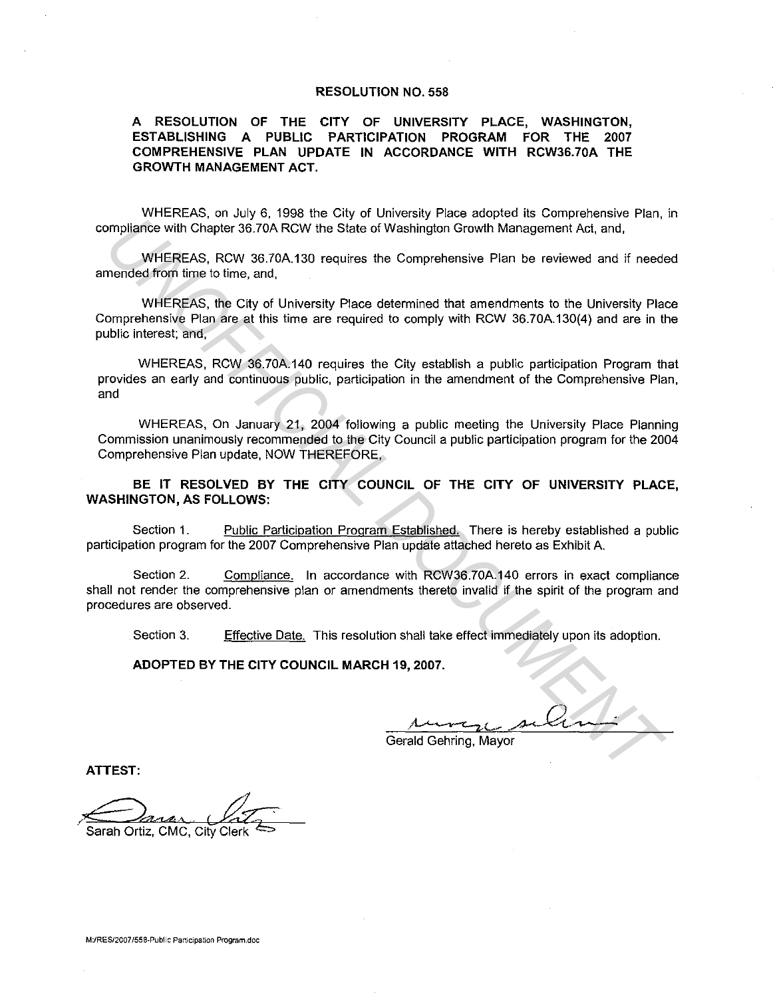## RESOLUTION NO. 558

## A RESOLUTION OF THE CITY OF UNIVERSITY PLACE, WASHINGTON, ESTABLISHING A PUBLIC PARTICIPATION PROGRAM FOR THE 2007 COMPREHENSIVE PLAN UPDATE IN ACCORDANCE WITH RCW36.70A THE GROWTH MANAGEMENT ACT.

WHEREAS, on July 6, 1998 the City of University Place adopted its Comprehensive Plan, in compliance with Chapter 36.70A RCW the State of Washington Growth Management Act, and,

WHEREAS, RCW 36.?0A.130 requires the Comprehensive Plan be reviewed and if needed amended from time to time, and,

WHEREAS, the City of University Place determined that amendments to the University Place Comprehensive Plan are at this time are required to comply with RCW 36.?0A.130(4) and are in the public interest; and, **UNIFICIAL DEATERTS**<br>
The section of the state of Washington Growth Management Act, and,<br>
WHEREAS, RCW 38.70A TCW the State of Washington Growth Management Act, and,<br>
WHEREAS, RCW 38.70A 130 requires the Comprehensive Plan

WHEREAS, RCW 36.?0A.140 requires the City establish a public participation Program that provides an early and continuous public, participation in the amendment of the Comprehensive Plan, and

WHEREAS, On January 21, 2004 following a public meeting the University Place Planning Commission unanimously recommended to the City Council a public participation program for the 2004 Comprehensive Plan update, NOW THEREFORE,

BE IT RESOLVED BY THE CITY COUNCIL OF THE CITY OF UNIVERSITY PLACE, WASHINGTON, AS FOLLOWS:

Section 1. Public Participation Program Established. There is hereby established a public participation program for the 2007 Comprehensive Plan update attached hereto as Exhibit A.

Section 2. Compliance. In accordance with RCW36.70A.140 errors in exact compliance shall not render the comprehensive plan or amendments thereto invalid if the spirit of the program and procedures are observed.

Section 3. Effective Date. This resolution shall take effect immediately upon its adoption.

ADOPTED BY THE CITY COUNCIL MARCH 19, 2007.

Gerald Gehring, Mayor

ATTEST:

Sarah Ortiz, CMC, City Clerk